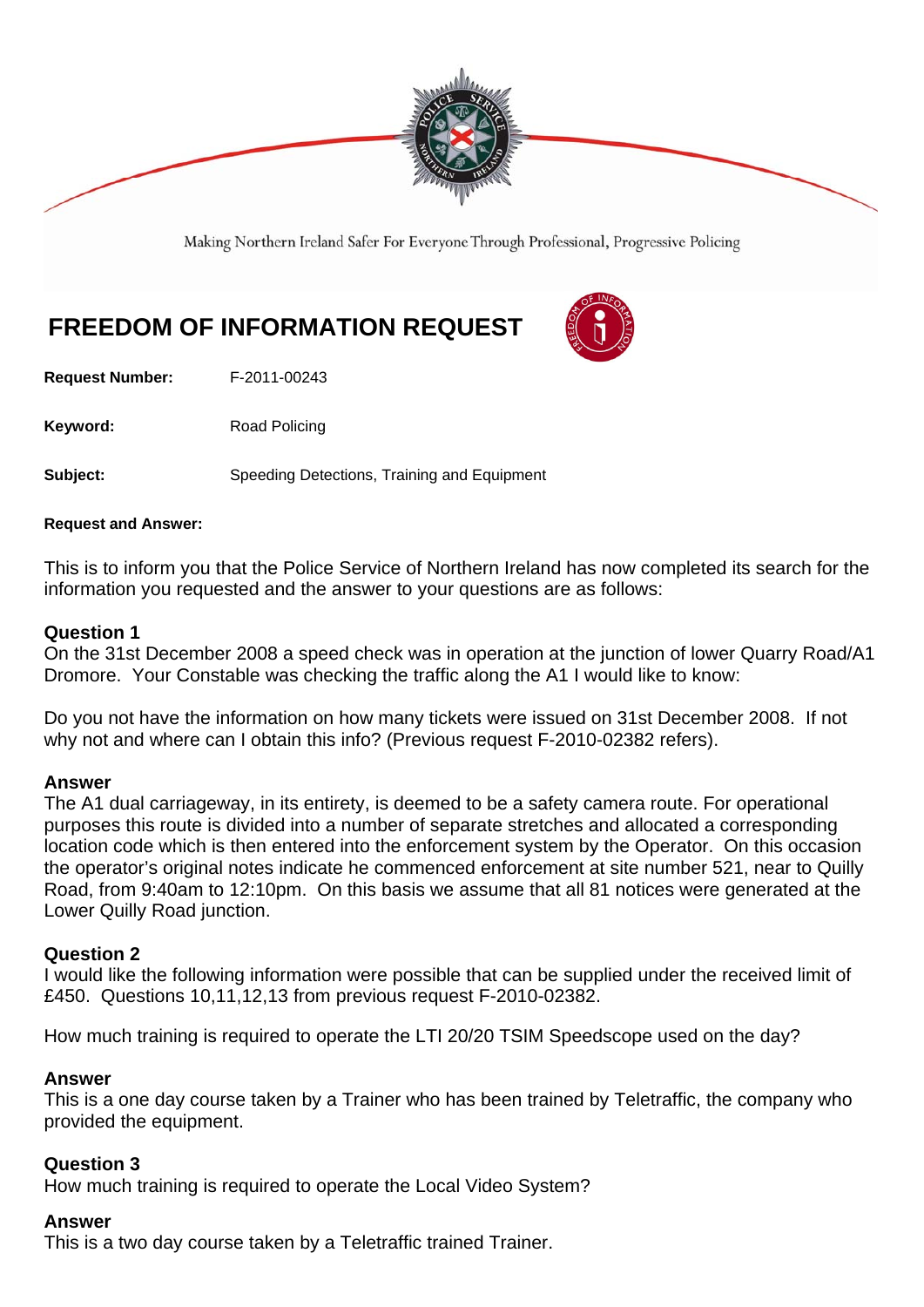

Making Northern Ireland Safer For Everyone Through Professional, Progressive Policing

# **FREEDOM OF INFORMATION REQUEST**

**Request Number:** F-2011-00243

Keyword: Road Policing

**Subject:** Speeding Detections, Training and Equipment

#### **Request and Answer:**

This is to inform you that the Police Service of Northern Ireland has now completed its search for the information you requested and the answer to your questions are as follows:

#### **Question 1**

On the 31st December 2008 a speed check was in operation at the junction of lower Quarry Road/A1 Dromore. Your Constable was checking the traffic along the A1 I would like to know:

Do you not have the information on how many tickets were issued on 31st December 2008. If not why not and where can I obtain this info? (Previous request F-2010-02382 refers).

#### **Answer**

The A1 dual carriageway, in its entirety, is deemed to be a safety camera route. For operational purposes this route is divided into a number of separate stretches and allocated a corresponding location code which is then entered into the enforcement system by the Operator. On this occasion the operator's original notes indicate he commenced enforcement at site number 521, near to Quilly Road, from 9:40am to 12:10pm. On this basis we assume that all 81 notices were generated at the Lower Quilly Road junction.

#### **Question 2**

I would like the following information were possible that can be supplied under the received limit of £450. Questions 10,11,12,13 from previous request F-2010-02382.

How much training is required to operate the LTI 20/20 TSIM Speedscope used on the day?

## **Answer**

This is a one day course taken by a Trainer who has been trained by Teletraffic, the company who provided the equipment.

#### **Question 3**

How much training is required to operate the Local Video System?

#### **Answer**

This is a two day course taken by a Teletraffic trained Trainer.